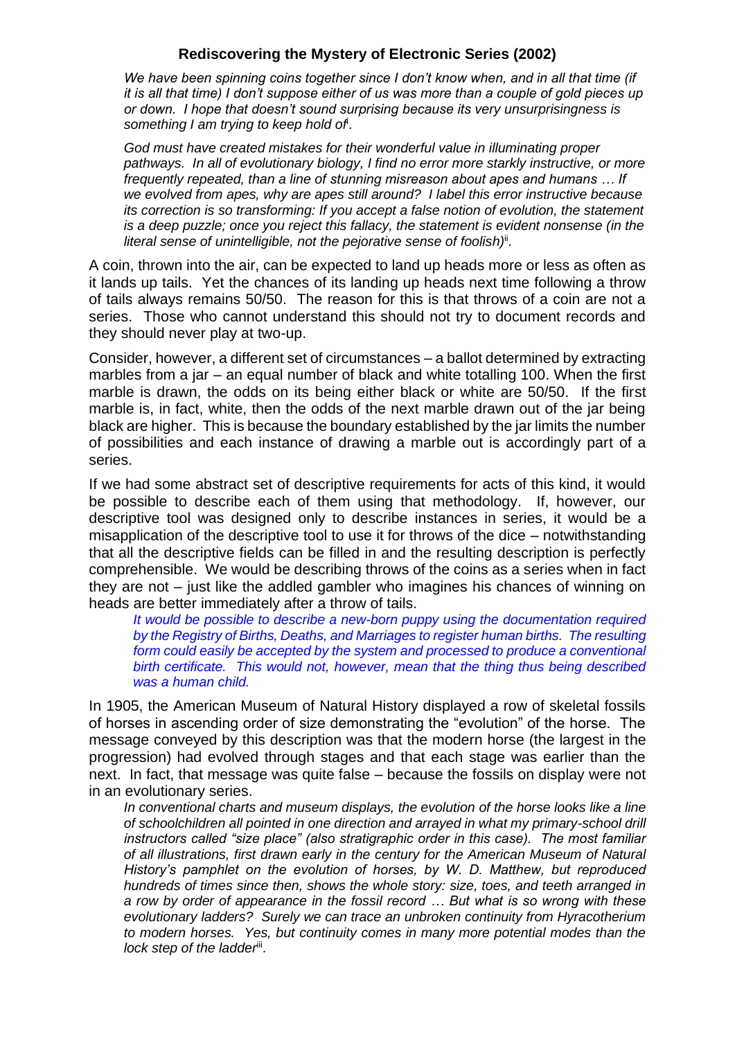## **Rediscovering the Mystery of Electronic Series (2002)**

*We have been spinning coins together since I don't know when, and in all that time (if it is all that time) I don't suppose either of us was more than a couple of gold pieces up or down. I hope that doesn't sound surprising because its very unsurprisingness is something I am trying to keep hold of*<sup>i</sup> .

*God must have created mistakes for their wonderful value in illuminating proper pathways. In all of evolutionary biology, I find no error more starkly instructive, or more frequently repeated, than a line of stunning misreason about apes and humans … If we evolved from apes, why are apes still around? I label this error instructive because its correction is so transforming: If you accept a false notion of evolution, the statement is a deep puzzle; once you reject this fallacy, the statement is evident nonsense (in the*  literal sense of unintelligible, not the pejorative sense of foolish)<sup>ii</sup>.

A coin, thrown into the air, can be expected to land up heads more or less as often as it lands up tails. Yet the chances of its landing up heads next time following a throw of tails always remains 50/50. The reason for this is that throws of a coin are not a series. Those who cannot understand this should not try to document records and they should never play at two-up.

Consider, however, a different set of circumstances – a ballot determined by extracting marbles from a jar – an equal number of black and white totalling 100. When the first marble is drawn, the odds on its being either black or white are 50/50. If the first marble is, in fact, white, then the odds of the next marble drawn out of the jar being black are higher. This is because the boundary established by the jar limits the number of possibilities and each instance of drawing a marble out is accordingly part of a series.

If we had some abstract set of descriptive requirements for acts of this kind, it would be possible to describe each of them using that methodology. If, however, our descriptive tool was designed only to describe instances in series, it would be a misapplication of the descriptive tool to use it for throws of the dice – notwithstanding that all the descriptive fields can be filled in and the resulting description is perfectly comprehensible. We would be describing throws of the coins as a series when in fact they are not – just like the addled gambler who imagines his chances of winning on heads are better immediately after a throw of tails.

*It would be possible to describe a new-born puppy using the documentation required by the Registry of Births, Deaths, and Marriages to register human births. The resulting form could easily be accepted by the system and processed to produce a conventional birth certificate. This would not, however, mean that the thing thus being described was a human child.*

In 1905, the American Museum of Natural History displayed a row of skeletal fossils of horses in ascending order of size demonstrating the "evolution" of the horse. The message conveyed by this description was that the modern horse (the largest in the progression) had evolved through stages and that each stage was earlier than the next. In fact, that message was quite false – because the fossils on display were not in an evolutionary series.

*In conventional charts and museum displays, the evolution of the horse looks like a line of schoolchildren all pointed in one direction and arrayed in what my primary-school drill instructors called "size place" (also stratigraphic order in this case). The most familiar of all illustrations, first drawn early in the century for the American Museum of Natural History's pamphlet on the evolution of horses, by W. D. Matthew, but reproduced hundreds of times since then, shows the whole story: size, toes, and teeth arranged in a row by order of appearance in the fossil record … But what is so wrong with these evolutionary ladders? Surely we can trace an unbroken continuity from Hyracotherium to modern horses. Yes, but continuity comes in many more potential modes than the*  lock step of the ladder<sup>iii</sup>.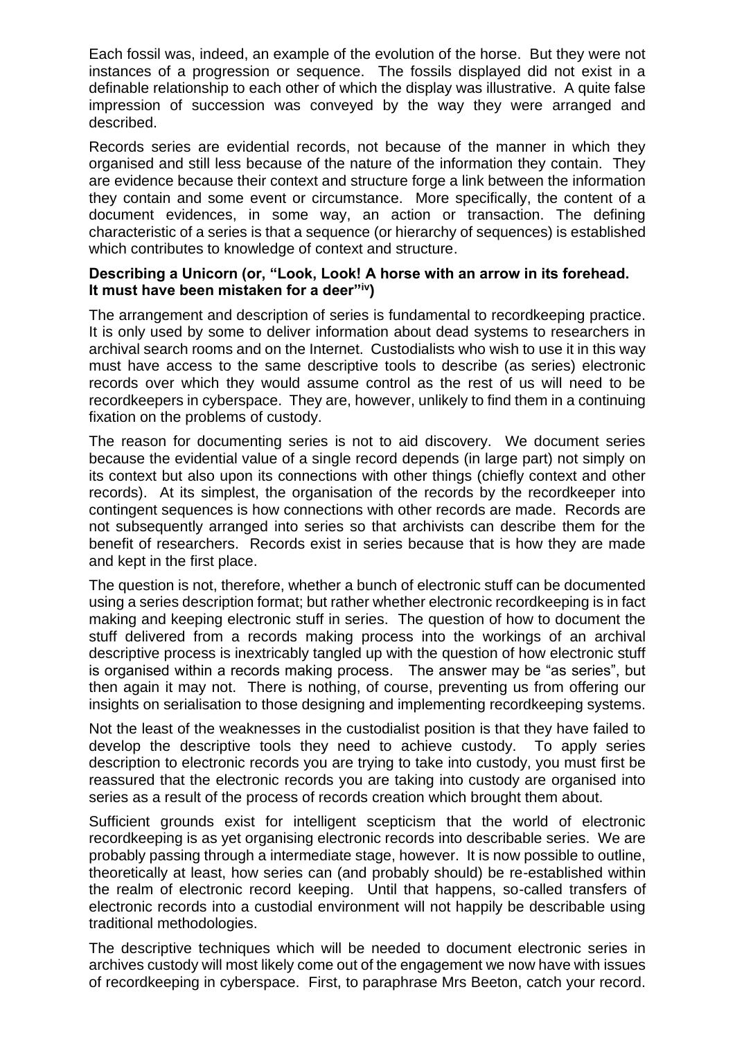Each fossil was, indeed, an example of the evolution of the horse. But they were not instances of a progression or sequence. The fossils displayed did not exist in a definable relationship to each other of which the display was illustrative. A quite false impression of succession was conveyed by the way they were arranged and described.

Records series are evidential records, not because of the manner in which they organised and still less because of the nature of the information they contain. They are evidence because their context and structure forge a link between the information they contain and some event or circumstance. More specifically, the content of a document evidences, in some way, an action or transaction. The defining characteristic of a series is that a sequence (or hierarchy of sequences) is established which contributes to knowledge of context and structure.

### **Describing a Unicorn (or, "Look, Look! A horse with an arrow in its forehead. It must have been mistaken for a deer"iv)**

The arrangement and description of series is fundamental to recordkeeping practice. It is only used by some to deliver information about dead systems to researchers in archival search rooms and on the Internet. Custodialists who wish to use it in this way must have access to the same descriptive tools to describe (as series) electronic records over which they would assume control as the rest of us will need to be recordkeepers in cyberspace. They are, however, unlikely to find them in a continuing fixation on the problems of custody.

The reason for documenting series is not to aid discovery. We document series because the evidential value of a single record depends (in large part) not simply on its context but also upon its connections with other things (chiefly context and other records). At its simplest, the organisation of the records by the recordkeeper into contingent sequences is how connections with other records are made. Records are not subsequently arranged into series so that archivists can describe them for the benefit of researchers. Records exist in series because that is how they are made and kept in the first place.

The question is not, therefore, whether a bunch of electronic stuff can be documented using a series description format; but rather whether electronic recordkeeping is in fact making and keeping electronic stuff in series. The question of how to document the stuff delivered from a records making process into the workings of an archival descriptive process is inextricably tangled up with the question of how electronic stuff is organised within a records making process. The answer may be "as series", but then again it may not. There is nothing, of course, preventing us from offering our insights on serialisation to those designing and implementing recordkeeping systems.

Not the least of the weaknesses in the custodialist position is that they have failed to develop the descriptive tools they need to achieve custody. To apply series description to electronic records you are trying to take into custody, you must first be reassured that the electronic records you are taking into custody are organised into series as a result of the process of records creation which brought them about.

Sufficient grounds exist for intelligent scepticism that the world of electronic recordkeeping is as yet organising electronic records into describable series. We are probably passing through a intermediate stage, however. It is now possible to outline, theoretically at least, how series can (and probably should) be re-established within the realm of electronic record keeping. Until that happens, so-called transfers of electronic records into a custodial environment will not happily be describable using traditional methodologies.

The descriptive techniques which will be needed to document electronic series in archives custody will most likely come out of the engagement we now have with issues of recordkeeping in cyberspace. First, to paraphrase Mrs Beeton, catch your record.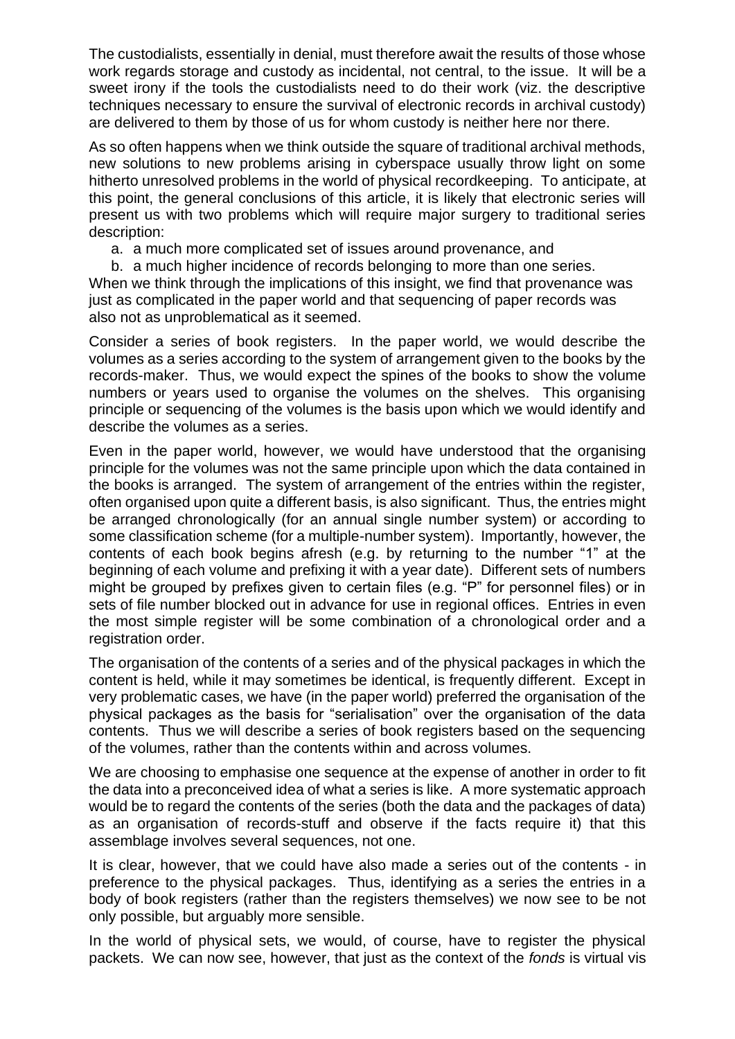The custodialists, essentially in denial, must therefore await the results of those whose work regards storage and custody as incidental, not central, to the issue. It will be a sweet irony if the tools the custodialists need to do their work (viz. the descriptive techniques necessary to ensure the survival of electronic records in archival custody) are delivered to them by those of us for whom custody is neither here nor there.

As so often happens when we think outside the square of traditional archival methods, new solutions to new problems arising in cyberspace usually throw light on some hitherto unresolved problems in the world of physical recordkeeping. To anticipate, at this point, the general conclusions of this article, it is likely that electronic series will present us with two problems which will require major surgery to traditional series description:

a. a much more complicated set of issues around provenance, and

b. a much higher incidence of records belonging to more than one series. When we think through the implications of this insight, we find that provenance was just as complicated in the paper world and that sequencing of paper records was also not as unproblematical as it seemed.

Consider a series of book registers. In the paper world, we would describe the volumes as a series according to the system of arrangement given to the books by the records-maker. Thus, we would expect the spines of the books to show the volume numbers or years used to organise the volumes on the shelves. This organising principle or sequencing of the volumes is the basis upon which we would identify and describe the volumes as a series.

Even in the paper world, however, we would have understood that the organising principle for the volumes was not the same principle upon which the data contained in the books is arranged. The system of arrangement of the entries within the register, often organised upon quite a different basis, is also significant. Thus, the entries might be arranged chronologically (for an annual single number system) or according to some classification scheme (for a multiple-number system). Importantly, however, the contents of each book begins afresh (e.g. by returning to the number "1" at the beginning of each volume and prefixing it with a year date). Different sets of numbers might be grouped by prefixes given to certain files (e.g. "P" for personnel files) or in sets of file number blocked out in advance for use in regional offices. Entries in even the most simple register will be some combination of a chronological order and a registration order.

The organisation of the contents of a series and of the physical packages in which the content is held, while it may sometimes be identical, is frequently different. Except in very problematic cases, we have (in the paper world) preferred the organisation of the physical packages as the basis for "serialisation" over the organisation of the data contents. Thus we will describe a series of book registers based on the sequencing of the volumes, rather than the contents within and across volumes.

We are choosing to emphasise one sequence at the expense of another in order to fit the data into a preconceived idea of what a series is like. A more systematic approach would be to regard the contents of the series (both the data and the packages of data) as an organisation of records-stuff and observe if the facts require it) that this assemblage involves several sequences, not one.

It is clear, however, that we could have also made a series out of the contents - in preference to the physical packages. Thus, identifying as a series the entries in a body of book registers (rather than the registers themselves) we now see to be not only possible, but arguably more sensible.

In the world of physical sets, we would, of course, have to register the physical packets. We can now see, however, that just as the context of the *fonds* is virtual vis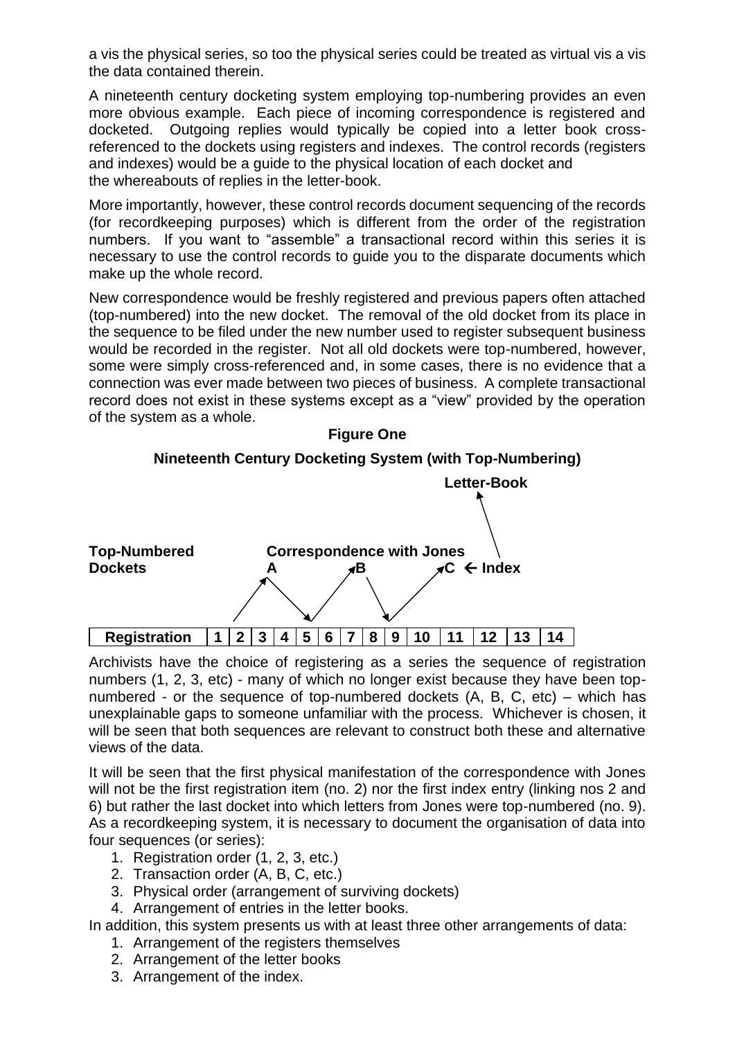a vis the physical series, so too the physical series could be treated as virtual vis a vis the data contained therein.

A nineteenth century docketing system employing top-numbering provides an even more obvious example. Each piece of incoming correspondence is registered and docketed. Outgoing replies would typically be copied into a letter book crossreferenced to the dockets using registers and indexes. The control records (registers and indexes) would be a guide to the physical location of each docket and the whereabouts of replies in the letter-book.

More importantly, however, these control records document sequencing of the records (for recordkeeping purposes) which is different from the order of the registration numbers. If you want to "assemble" a transactional record within this series it is necessary to use the control records to guide you to the disparate documents which make up the whole record.

New correspondence would be freshly registered and previous papers often attached (top-numbered) into the new docket. The removal of the old docket from its place in the sequence to be filed under the new number used to register subsequent business would be recorded in the register. Not all old dockets were top-numbered, however, some were simply cross-referenced and, in some cases, there is no evidence that a connection was ever made between two pieces of business. A complete transactional record does not exist in these systems except as a "view" provided by the operation of the system as a whole.







Archivists have the choice of registering as a series the sequence of registration numbers (1, 2, 3, etc) - many of which no longer exist because they have been topnumbered - or the sequence of top-numbered dockets (A, B, C, etc) – which has unexplainable gaps to someone unfamiliar with the process. Whichever is chosen, it will be seen that both sequences are relevant to construct both these and alternative views of the data.

It will be seen that the first physical manifestation of the correspondence with Jones will not be the first registration item (no. 2) nor the first index entry (linking nos 2 and 6) but rather the last docket into which letters from Jones were top-numbered (no. 9). As a recordkeeping system, it is necessary to document the organisation of data into four sequences (or series):

- 1. Registration order (1, 2, 3, etc.)
- 2. Transaction order (A, B, C, etc.)
- 3. Physical order (arrangement of surviving dockets)
- 4. Arrangement of entries in the letter books.

In addition, this system presents us with at least three other arrangements of data:

- 1. Arrangement of the registers themselves
- 2. Arrangement of the letter books
- 3. Arrangement of the index.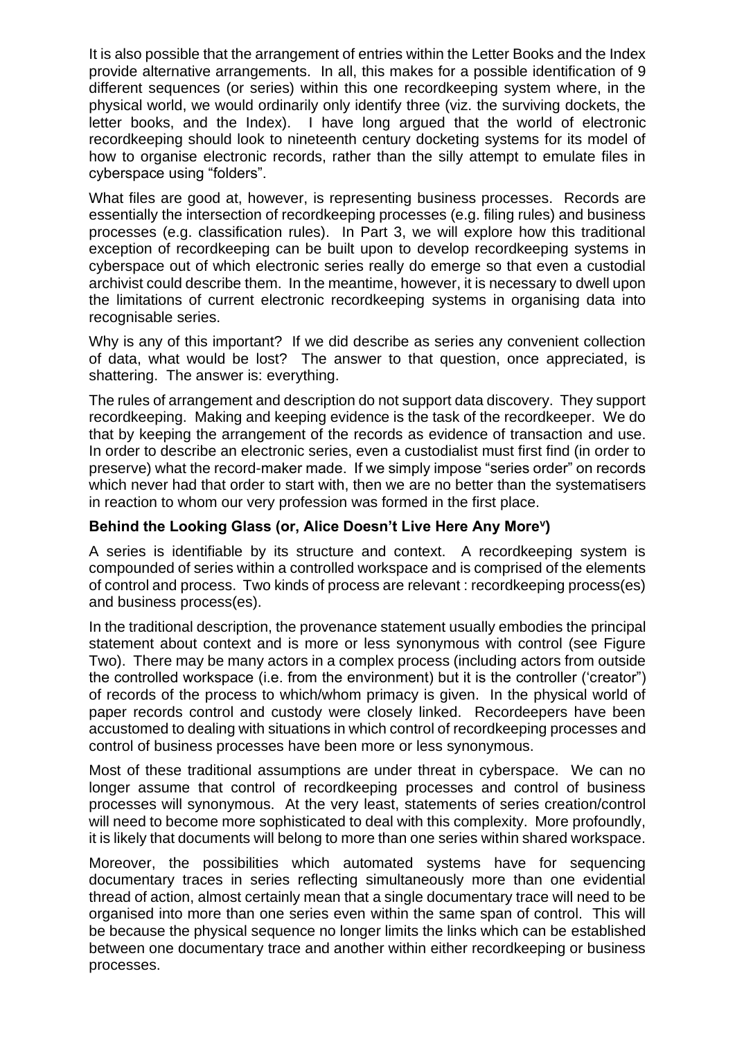It is also possible that the arrangement of entries within the Letter Books and the Index provide alternative arrangements. In all, this makes for a possible identification of 9 different sequences (or series) within this one recordkeeping system where, in the physical world, we would ordinarily only identify three (viz. the surviving dockets, the letter books, and the Index). I have long argued that the world of electronic recordkeeping should look to nineteenth century docketing systems for its model of how to organise electronic records, rather than the silly attempt to emulate files in cyberspace using "folders".

What files are good at, however, is representing business processes. Records are essentially the intersection of recordkeeping processes (e.g. filing rules) and business processes (e.g. classification rules). In Part 3, we will explore how this traditional exception of recordkeeping can be built upon to develop recordkeeping systems in cyberspace out of which electronic series really do emerge so that even a custodial archivist could describe them. In the meantime, however, it is necessary to dwell upon the limitations of current electronic recordkeeping systems in organising data into recognisable series.

Why is any of this important? If we did describe as series any convenient collection of data, what would be lost? The answer to that question, once appreciated, is shattering. The answer is: everything.

The rules of arrangement and description do not support data discovery. They support recordkeeping. Making and keeping evidence is the task of the recordkeeper. We do that by keeping the arrangement of the records as evidence of transaction and use. In order to describe an electronic series, even a custodialist must first find (in order to preserve) what the record-maker made. If we simply impose "series order" on records which never had that order to start with, then we are no better than the systematisers in reaction to whom our very profession was formed in the first place.

### **Behind the Looking Glass (or, Alice Doesn't Live Here Any More<sup>v</sup> )**

A series is identifiable by its structure and context. A recordkeeping system is compounded of series within a controlled workspace and is comprised of the elements of control and process. Two kinds of process are relevant : recordkeeping process(es) and business process(es).

In the traditional description, the provenance statement usually embodies the principal statement about context and is more or less synonymous with control (see Figure Two). There may be many actors in a complex process (including actors from outside the controlled workspace (i.e. from the environment) but it is the controller ('creator") of records of the process to which/whom primacy is given. In the physical world of paper records control and custody were closely linked. Recordeepers have been accustomed to dealing with situations in which control of recordkeeping processes and control of business processes have been more or less synonymous.

Most of these traditional assumptions are under threat in cyberspace. We can no longer assume that control of recordkeeping processes and control of business processes will synonymous. At the very least, statements of series creation/control will need to become more sophisticated to deal with this complexity. More profoundly, it is likely that documents will belong to more than one series within shared workspace.

Moreover, the possibilities which automated systems have for sequencing documentary traces in series reflecting simultaneously more than one evidential thread of action, almost certainly mean that a single documentary trace will need to be organised into more than one series even within the same span of control. This will be because the physical sequence no longer limits the links which can be established between one documentary trace and another within either recordkeeping or business processes.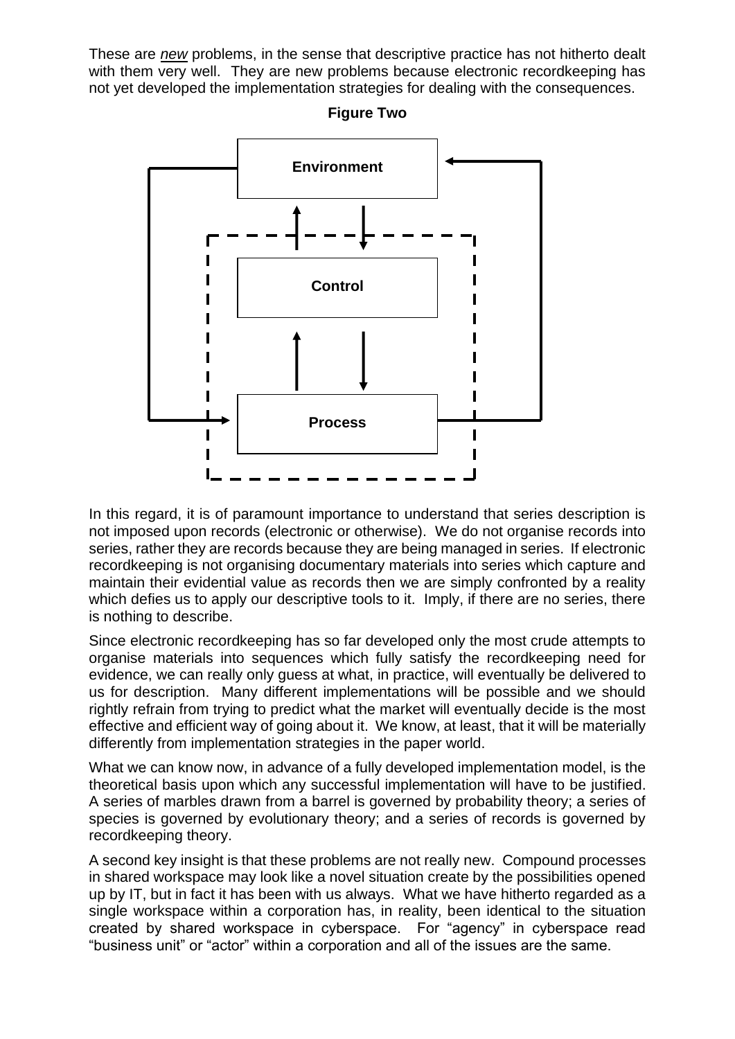These are *new* problems, in the sense that descriptive practice has not hitherto dealt with them very well. They are new problems because electronic recordkeeping has not yet developed the implementation strategies for dealing with the consequences.



**Figure Two**

In this regard, it is of paramount importance to understand that series description is not imposed upon records (electronic or otherwise). We do not organise records into series, rather they are records because they are being managed in series. If electronic recordkeeping is not organising documentary materials into series which capture and maintain their evidential value as records then we are simply confronted by a reality which defies us to apply our descriptive tools to it. Imply, if there are no series, there is nothing to describe.

Since electronic recordkeeping has so far developed only the most crude attempts to organise materials into sequences which fully satisfy the recordkeeping need for evidence, we can really only guess at what, in practice, will eventually be delivered to us for description. Many different implementations will be possible and we should rightly refrain from trying to predict what the market will eventually decide is the most effective and efficient way of going about it. We know, at least, that it will be materially differently from implementation strategies in the paper world.

What we can know now, in advance of a fully developed implementation model, is the theoretical basis upon which any successful implementation will have to be justified. A series of marbles drawn from a barrel is governed by probability theory; a series of species is governed by evolutionary theory; and a series of records is governed by recordkeeping theory.

A second key insight is that these problems are not really new. Compound processes in shared workspace may look like a novel situation create by the possibilities opened up by IT, but in fact it has been with us always. What we have hitherto regarded as a single workspace within a corporation has, in reality, been identical to the situation created by shared workspace in cyberspace. For "agency" in cyberspace read "business unit" or "actor" within a corporation and all of the issues are the same.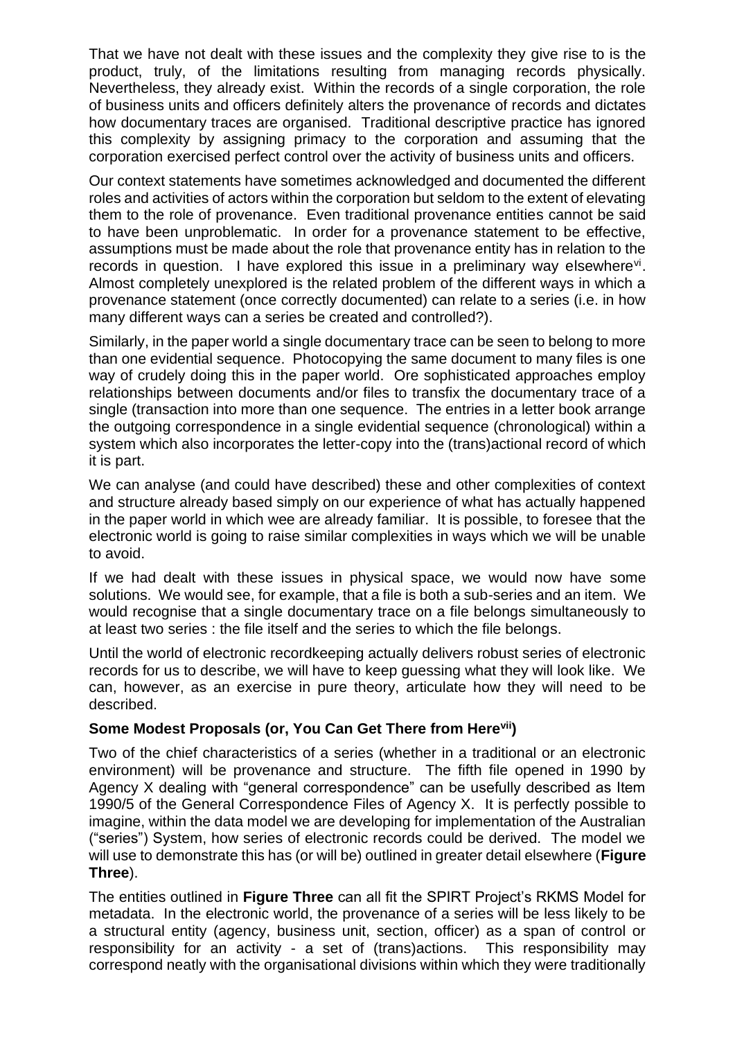That we have not dealt with these issues and the complexity they give rise to is the product, truly, of the limitations resulting from managing records physically. Nevertheless, they already exist. Within the records of a single corporation, the role of business units and officers definitely alters the provenance of records and dictates how documentary traces are organised. Traditional descriptive practice has ignored this complexity by assigning primacy to the corporation and assuming that the corporation exercised perfect control over the activity of business units and officers.

Our context statements have sometimes acknowledged and documented the different roles and activities of actors within the corporation but seldom to the extent of elevating them to the role of provenance. Even traditional provenance entities cannot be said to have been unproblematic. In order for a provenance statement to be effective, assumptions must be made about the role that provenance entity has in relation to the records in question. I have explored this issue in a preliminary way elsewhere<sup>vi</sup>. Almost completely unexplored is the related problem of the different ways in which a provenance statement (once correctly documented) can relate to a series (i.e. in how many different ways can a series be created and controlled?).

Similarly, in the paper world a single documentary trace can be seen to belong to more than one evidential sequence. Photocopying the same document to many files is one way of crudely doing this in the paper world. Ore sophisticated approaches employ relationships between documents and/or files to transfix the documentary trace of a single (transaction into more than one sequence. The entries in a letter book arrange the outgoing correspondence in a single evidential sequence (chronological) within a system which also incorporates the letter-copy into the (trans)actional record of which it is part.

We can analyse (and could have described) these and other complexities of context and structure already based simply on our experience of what has actually happened in the paper world in which wee are already familiar. It is possible, to foresee that the electronic world is going to raise similar complexities in ways which we will be unable to avoid.

If we had dealt with these issues in physical space, we would now have some solutions. We would see, for example, that a file is both a sub-series and an item. We would recognise that a single documentary trace on a file belongs simultaneously to at least two series : the file itself and the series to which the file belongs.

Until the world of electronic recordkeeping actually delivers robust series of electronic records for us to describe, we will have to keep guessing what they will look like. We can, however, as an exercise in pure theory, articulate how they will need to be described.

# **Some Modest Proposals (or, You Can Get There from Herevii)**

Two of the chief characteristics of a series (whether in a traditional or an electronic environment) will be provenance and structure. The fifth file opened in 1990 by Agency X dealing with "general correspondence" can be usefully described as Item 1990/5 of the General Correspondence Files of Agency X.It is perfectly possible to imagine, within the data model we are developing for implementation of the Australian ("series") System, how series of electronic records could be derived. The model we will use to demonstrate this has (or will be) outlined in greater detail elsewhere (**Figure Three**).

The entities outlined in **Figure Three** can all fit the SPIRT Project's RKMS Model for metadata. In the electronic world, the provenance of a series will be less likely to be a structural entity (agency, business unit, section, officer) as a span of control or responsibility for an activity - a set of (trans)actions. This responsibility may correspond neatly with the organisational divisions within which they were traditionally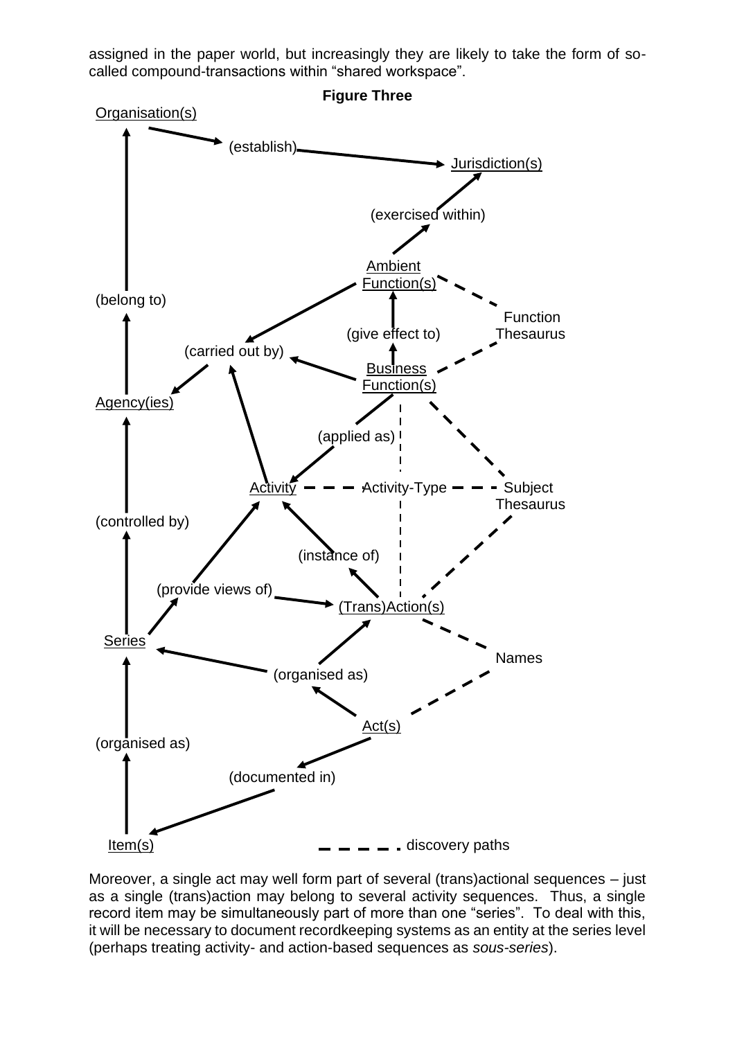assigned in the paper world, but increasingly they are likely to take the form of socalled compound-transactions within "shared workspace".



Moreover, a single act may well form part of several (trans)actional sequences – just as a single (trans)action may belong to several activity sequences. Thus, a single record item may be simultaneously part of more than one "series". To deal with this, it will be necessary to document recordkeeping systems as an entity at the series level (perhaps treating activity- and action-based sequences as *sous-series*).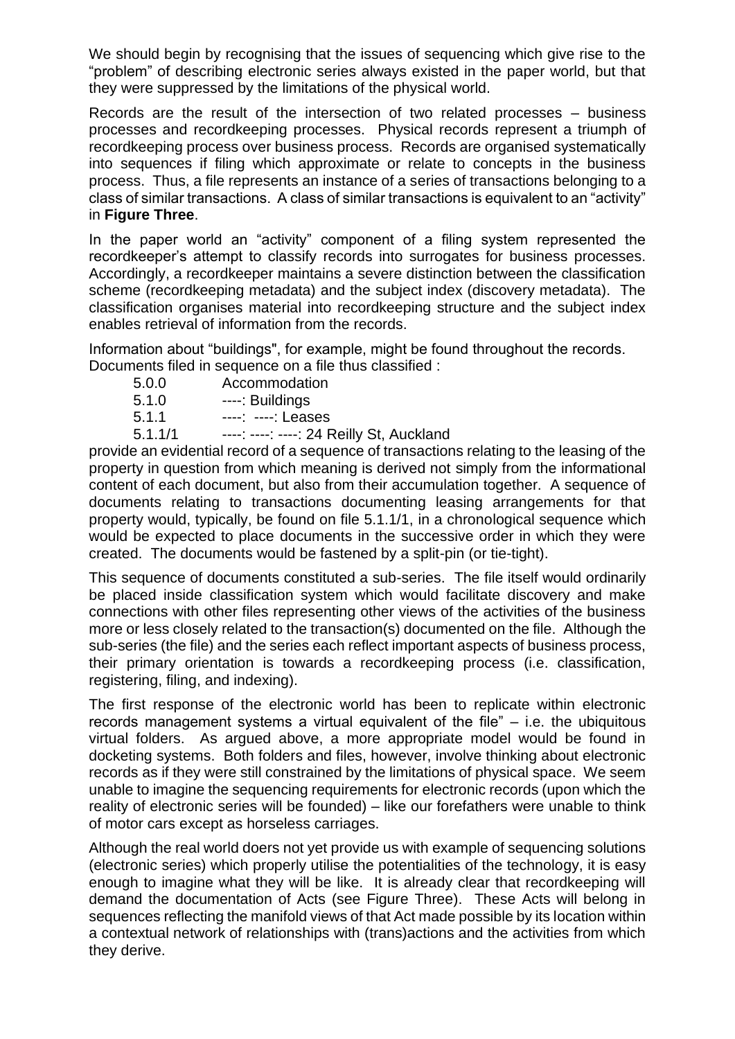We should begin by recognising that the issues of sequencing which give rise to the "problem" of describing electronic series always existed in the paper world, but that they were suppressed by the limitations of the physical world.

Records are the result of the intersection of two related processes – business processes and recordkeeping processes. Physical records represent a triumph of recordkeeping process over business process. Records are organised systematically into sequences if filing which approximate or relate to concepts in the business process. Thus, a file represents an instance of a series of transactions belonging to a class of similar transactions. A class of similar transactions is equivalent to an "activity" in **Figure Three**.

In the paper world an "activity" component of a filing system represented the recordkeeper's attempt to classify records into surrogates for business processes. Accordingly, a recordkeeper maintains a severe distinction between the classification scheme (recordkeeping metadata) and the subject index (discovery metadata). The classification organises material into recordkeeping structure and the subject index enables retrieval of information from the records.

Information about "buildings", for example, might be found throughout the records.

Documents filed in sequence on a file thus classified :

5.0.0 Accommodation 5.1.0 ----: Buildings 5.1.1 ----: ----: Leases 5.1.1/1 ----: ----: ----: 24 Reilly St, Auckland

provide an evidential record of a sequence of transactions relating to the leasing of the property in question from which meaning is derived not simply from the informational content of each document, but also from their accumulation together. A sequence of documents relating to transactions documenting leasing arrangements for that property would, typically, be found on file 5.1.1/1, in a chronological sequence which would be expected to place documents in the successive order in which they were created. The documents would be fastened by a split-pin (or tie-tight).

This sequence of documents constituted a sub-series. The file itself would ordinarily be placed inside classification system which would facilitate discovery and make connections with other files representing other views of the activities of the business more or less closely related to the transaction(s) documented on the file. Although the sub-series (the file) and the series each reflect important aspects of business process, their primary orientation is towards a recordkeeping process (i.e. classification, registering, filing, and indexing).

The first response of the electronic world has been to replicate within electronic records management systems a virtual equivalent of the file" – i.e. the ubiquitous virtual folders. As argued above, a more appropriate model would be found in docketing systems. Both folders and files, however, involve thinking about electronic records as if they were still constrained by the limitations of physical space. We seem unable to imagine the sequencing requirements for electronic records (upon which the reality of electronic series will be founded) – like our forefathers were unable to think of motor cars except as horseless carriages.

Although the real world doers not yet provide us with example of sequencing solutions (electronic series) which properly utilise the potentialities of the technology, it is easy enough to imagine what they will be like. It is already clear that recordkeeping will demand the documentation of Acts (see Figure Three). These Acts will belong in sequences reflecting the manifold views of that Act made possible by its location within a contextual network of relationships with (trans)actions and the activities from which they derive.